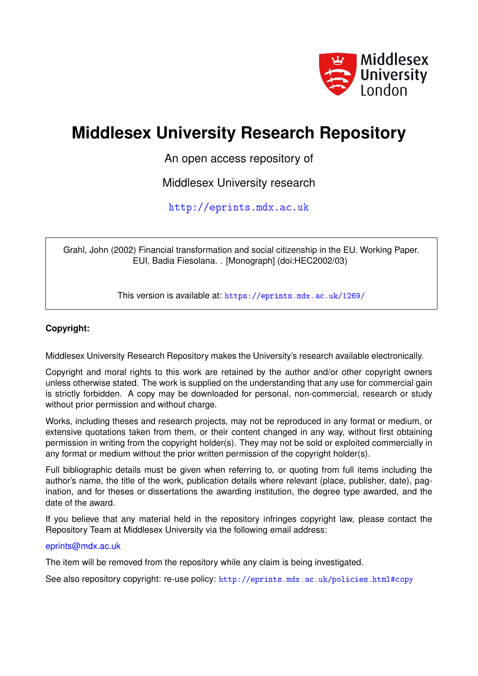

# **Middlesex University Research Repository**

An open access repository of

Middlesex University research

<http://eprints.mdx.ac.uk>

Grahl, John (2002) Financial transformation and social citizenship in the EU. Working Paper. EUI, Badia Fiesolana. . [Monograph] (doi:HEC2002/03)

This version is available at: <https://eprints.mdx.ac.uk/1269/>

# **Copyright:**

Middlesex University Research Repository makes the University's research available electronically.

Copyright and moral rights to this work are retained by the author and/or other copyright owners unless otherwise stated. The work is supplied on the understanding that any use for commercial gain is strictly forbidden. A copy may be downloaded for personal, non-commercial, research or study without prior permission and without charge.

Works, including theses and research projects, may not be reproduced in any format or medium, or extensive quotations taken from them, or their content changed in any way, without first obtaining permission in writing from the copyright holder(s). They may not be sold or exploited commercially in any format or medium without the prior written permission of the copyright holder(s).

Full bibliographic details must be given when referring to, or quoting from full items including the author's name, the title of the work, publication details where relevant (place, publisher, date), pagination, and for theses or dissertations the awarding institution, the degree type awarded, and the date of the award.

If you believe that any material held in the repository infringes copyright law, please contact the Repository Team at Middlesex University via the following email address:

## [eprints@mdx.ac.uk](mailto:eprints@mdx.ac.uk)

The item will be removed from the repository while any claim is being investigated.

See also repository copyright: re-use policy: <http://eprints.mdx.ac.uk/policies.html#copy>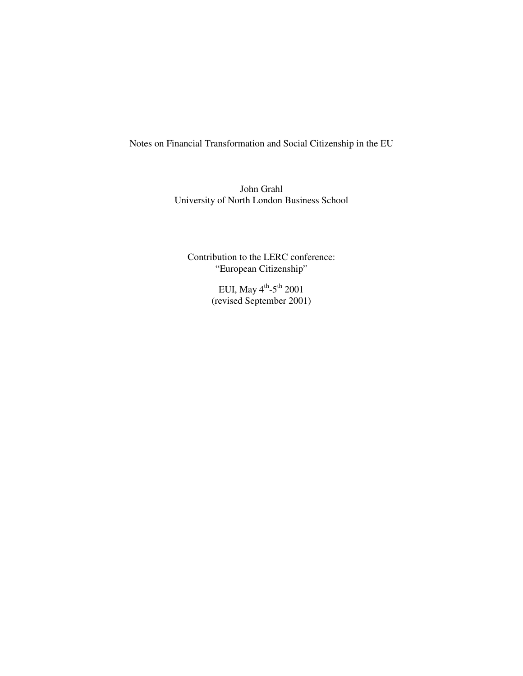Notes on Financial Transformation and Social Citizenship in the EU

John Grahl University of North London Business School

Contribution to the LERC conference: "European Citizenship"

> EUI, May  $4^{\text{th}}$ - $5^{\text{th}}$  2001 (revised September 2001)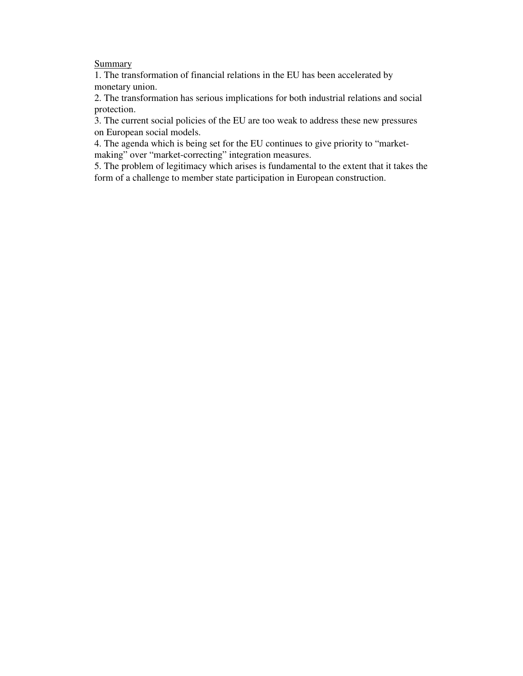## **Summary**

1. The transformation of financial relations in the EU has been accelerated by monetary union.

2. The transformation has serious implications for both industrial relations and social protection.

3. The current social policies of the EU are too weak to address these new pressures on European social models.

4. The agenda which is being set for the EU continues to give priority to "marketmaking" over "market-correcting" integration measures.

5. The problem of legitimacy which arises is fundamental to the extent that it takes the form of a challenge to member state participation in European construction.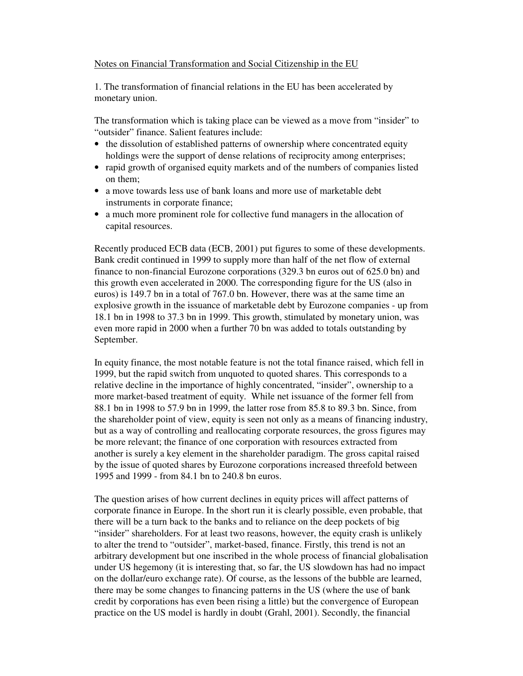### Notes on Financial Transformation and Social Citizenship in the EU

1. The transformation of financial relations in the EU has been accelerated by monetary union.

The transformation which is taking place can be viewed as a move from "insider" to "outsider" finance. Salient features include:

- the dissolution of established patterns of ownership where concentrated equity holdings were the support of dense relations of reciprocity among enterprises;
- rapid growth of organised equity markets and of the numbers of companies listed on them;
- a move towards less use of bank loans and more use of marketable debt instruments in corporate finance;
- a much more prominent role for collective fund managers in the allocation of capital resources.

Recently produced ECB data (ECB, 2001) put figures to some of these developments. Bank credit continued in 1999 to supply more than half of the net flow of external finance to non-financial Eurozone corporations (329.3 bn euros out of 625.0 bn) and this growth even accelerated in 2000. The corresponding figure for the US (also in euros) is 149.7 bn in a total of 767.0 bn. However, there was at the same time an explosive growth in the issuance of marketable debt by Eurozone companies - up from 18.1 bn in 1998 to 37.3 bn in 1999. This growth, stimulated by monetary union, was even more rapid in 2000 when a further 70 bn was added to totals outstanding by September.

In equity finance, the most notable feature is not the total finance raised, which fell in 1999, but the rapid switch from unquoted to quoted shares. This corresponds to a relative decline in the importance of highly concentrated, "insider", ownership to a more market-based treatment of equity. While net issuance of the former fell from 88.1 bn in 1998 to 57.9 bn in 1999, the latter rose from 85.8 to 89.3 bn. Since, from the shareholder point of view, equity is seen not only as a means of financing industry, but as a way of controlling and reallocating corporate resources, the gross figures may be more relevant; the finance of one corporation with resources extracted from another is surely a key element in the shareholder paradigm. The gross capital raised by the issue of quoted shares by Eurozone corporations increased threefold between 1995 and 1999 - from 84.1 bn to 240.8 bn euros.

The question arises of how current declines in equity prices will affect patterns of corporate finance in Europe. In the short run it is clearly possible, even probable, that there will be a turn back to the banks and to reliance on the deep pockets of big "insider" shareholders. For at least two reasons, however, the equity crash is unlikely to alter the trend to "outsider", market-based, finance. Firstly, this trend is not an arbitrary development but one inscribed in the whole process of financial globalisation under US hegemony (it is interesting that, so far, the US slowdown has had no impact on the dollar/euro exchange rate). Of course, as the lessons of the bubble are learned, there may be some changes to financing patterns in the US (where the use of bank credit by corporations has even been rising a little) but the convergence of European practice on the US model is hardly in doubt (Grahl, 2001). Secondly, the financial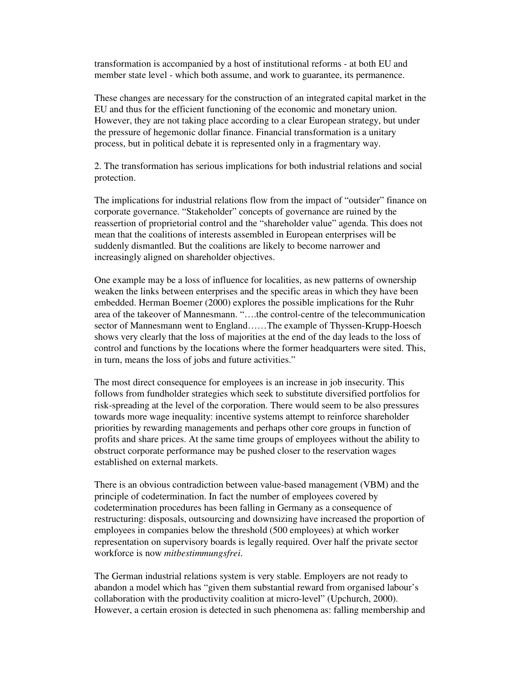transformation is accompanied by a host of institutional reforms - at both EU and member state level - which both assume, and work to guarantee, its permanence.

These changes are necessary for the construction of an integrated capital market in the EU and thus for the efficient functioning of the economic and monetary union. However, they are not taking place according to a clear European strategy, but under the pressure of hegemonic dollar finance. Financial transformation is a unitary process, but in political debate it is represented only in a fragmentary way.

2. The transformation has serious implications for both industrial relations and social protection.

The implications for industrial relations flow from the impact of "outsider" finance on corporate governance. "Stakeholder" concepts of governance are ruined by the reassertion of proprietorial control and the "shareholder value" agenda. This does not mean that the coalitions of interests assembled in European enterprises will be suddenly dismantled. But the coalitions are likely to become narrower and increasingly aligned on shareholder objectives.

One example may be a loss of influence for localities, as new patterns of ownership weaken the links between enterprises and the specific areas in which they have been embedded. Herman Boemer (2000) explores the possible implications for the Ruhr area of the takeover of Mannesmann. "….the control-centre of the telecommunication sector of Mannesmann went to England……The example of Thyssen-Krupp-Hoesch shows very clearly that the loss of majorities at the end of the day leads to the loss of control and functions by the locations where the former headquarters were sited. This, in turn, means the loss of jobs and future activities."

The most direct consequence for employees is an increase in job insecurity. This follows from fundholder strategies which seek to substitute diversified portfolios for risk-spreading at the level of the corporation. There would seem to be also pressures towards more wage inequality: incentive systems attempt to reinforce shareholder priorities by rewarding managements and perhaps other core groups in function of profits and share prices. At the same time groups of employees without the ability to obstruct corporate performance may be pushed closer to the reservation wages established on external markets.

There is an obvious contradiction between value-based management (VBM) and the principle of codetermination. In fact the number of employees covered by codetermination procedures has been falling in Germany as a consequence of restructuring: disposals, outsourcing and downsizing have increased the proportion of employees in companies below the threshold (500 employees) at which worker representation on supervisory boards is legally required. Over half the private sector workforce is now *mitbestimmungsfrei*.

The German industrial relations system is very stable. Employers are not ready to abandon a model which has "given them substantial reward from organised labour's collaboration with the productivity coalition at micro-level" (Upchurch, 2000). However, a certain erosion is detected in such phenomena as: falling membership and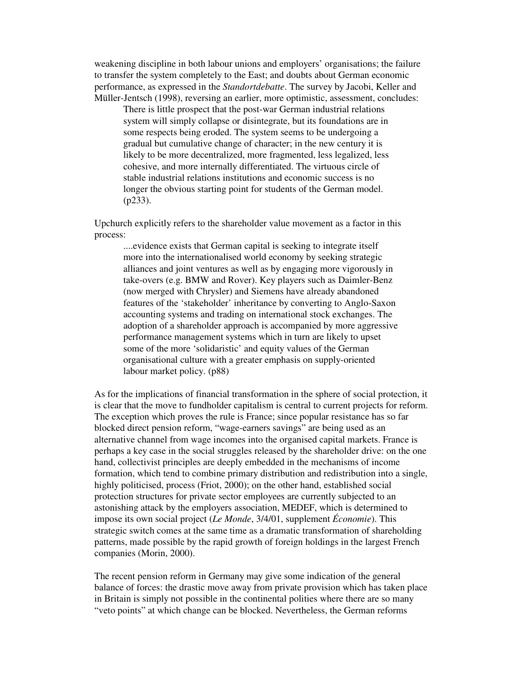weakening discipline in both labour unions and employers' organisations; the failure to transfer the system completely to the East; and doubts about German economic performance, as expressed in the *Standortdebatte*. The survey by Jacobi, Keller and Müller-Jentsch (1998), reversing an earlier, more optimistic, assessment, concludes:

There is little prospect that the post-war German industrial relations system will simply collapse or disintegrate, but its foundations are in some respects being eroded. The system seems to be undergoing a gradual but cumulative change of character; in the new century it is likely to be more decentralized, more fragmented, less legalized, less cohesive, and more internally differentiated. The virtuous circle of stable industrial relations institutions and economic success is no longer the obvious starting point for students of the German model. (p233).

Upchurch explicitly refers to the shareholder value movement as a factor in this process:

....evidence exists that German capital is seeking to integrate itself more into the internationalised world economy by seeking strategic alliances and joint ventures as well as by engaging more vigorously in take-overs (e.g. BMW and Rover). Key players such as Daimler-Benz (now merged with Chrysler) and Siemens have already abandoned features of the 'stakeholder' inheritance by converting to Anglo-Saxon accounting systems and trading on international stock exchanges. The adoption of a shareholder approach is accompanied by more aggressive performance management systems which in turn are likely to upset some of the more 'solidaristic' and equity values of the German organisational culture with a greater emphasis on supply-oriented labour market policy. (p88)

As for the implications of financial transformation in the sphere of social protection, it is clear that the move to fundholder capitalism is central to current projects for reform. The exception which proves the rule is France; since popular resistance has so far blocked direct pension reform, "wage-earners savings" are being used as an alternative channel from wage incomes into the organised capital markets. France is perhaps a key case in the social struggles released by the shareholder drive: on the one hand, collectivist principles are deeply embedded in the mechanisms of income formation, which tend to combine primary distribution and redistribution into a single, highly politicised, process (Friot, 2000); on the other hand, established social protection structures for private sector employees are currently subjected to an astonishing attack by the employers association, MEDEF, which is determined to impose its own social project (*Le Monde*, 3/4/01, supplement *Économie*). This strategic switch comes at the same time as a dramatic transformation of shareholding patterns, made possible by the rapid growth of foreign holdings in the largest French companies (Morin, 2000).

The recent pension reform in Germany may give some indication of the general balance of forces: the drastic move away from private provision which has taken place in Britain is simply not possible in the continental polities where there are so many "veto points" at which change can be blocked. Nevertheless, the German reforms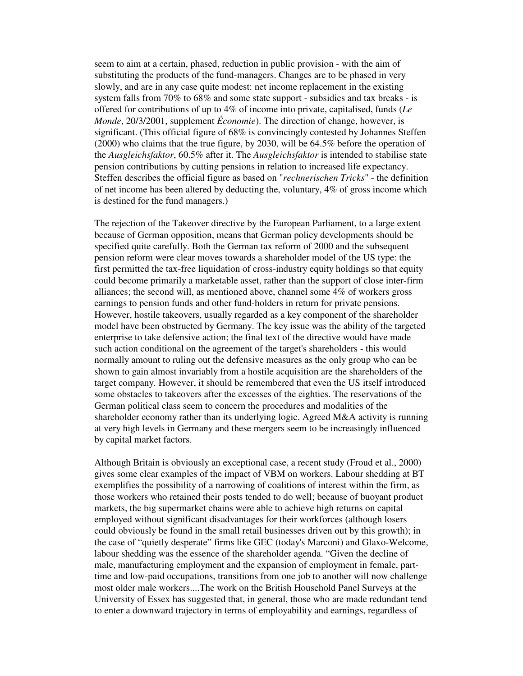seem to aim at a certain, phased, reduction in public provision - with the aim of substituting the products of the fund-managers. Changes are to be phased in very slowly, and are in any case quite modest: net income replacement in the existing system falls from 70% to 68% and some state support - subsidies and tax breaks - is offered for contributions of up to 4% of income into private, capitalised, funds (*Le Monde*, 20/3/2001, supplement *Économie*). The direction of change, however, is significant. (This official figure of 68% is convincingly contested by Johannes Steffen (2000) who claims that the true figure, by 2030, will be 64.5% before the operation of the *Ausgleichsfaktor*, 60.5% after it. The *Ausgleichsfaktor* is intended to stabilise state pension contributions by cutting pensions in relation to increased life expectancy. Steffen describes the official figure as based on "*rechnerischen Tricks*" - the definition of net income has been altered by deducting the, voluntary,  $4\%$  of gross income which is destined for the fund managers.)

The rejection of the Takeover directive by the European Parliament, to a large extent because of German opposition, means that German policy developments should be specified quite carefully. Both the German tax reform of 2000 and the subsequent pension reform were clear moves towards a shareholder model of the US type: the first permitted the tax-free liquidation of cross-industry equity holdings so that equity could become primarily a marketable asset, rather than the support of close inter-firm alliances; the second will, as mentioned above, channel some 4% of workers gross earnings to pension funds and other fund-holders in return for private pensions. However, hostile takeovers, usually regarded as a key component of the shareholder model have been obstructed by Germany. The key issue was the ability of the targeted enterprise to take defensive action; the final text of the directive would have made such action conditional on the agreement of the target's shareholders - this would normally amount to ruling out the defensive measures as the only group who can be shown to gain almost invariably from a hostile acquisition are the shareholders of the target company. However, it should be remembered that even the US itself introduced some obstacles to takeovers after the excesses of the eighties. The reservations of the German political class seem to concern the procedures and modalities of the shareholder economy rather than its underlying logic. Agreed M&A activity is running at very high levels in Germany and these mergers seem to be increasingly influenced by capital market factors.

Although Britain is obviously an exceptional case, a recent study (Froud et al., 2000) gives some clear examples of the impact of VBM on workers. Labour shedding at BT exemplifies the possibility of a narrowing of coalitions of interest within the firm, as those workers who retained their posts tended to do well; because of buoyant product markets, the big supermarket chains were able to achieve high returns on capital employed without significant disadvantages for their workforces (although losers could obviously be found in the small retail businesses driven out by this growth); in the case of "quietly desperate" firms like GEC (today's Marconi) and Glaxo-Welcome, labour shedding was the essence of the shareholder agenda. "Given the decline of male, manufacturing employment and the expansion of employment in female, parttime and low-paid occupations, transitions from one job to another will now challenge most older male workers....The work on the British Household Panel Surveys at the University of Essex has suggested that, in general, those who are made redundant tend to enter a downward trajectory in terms of employability and earnings, regardless of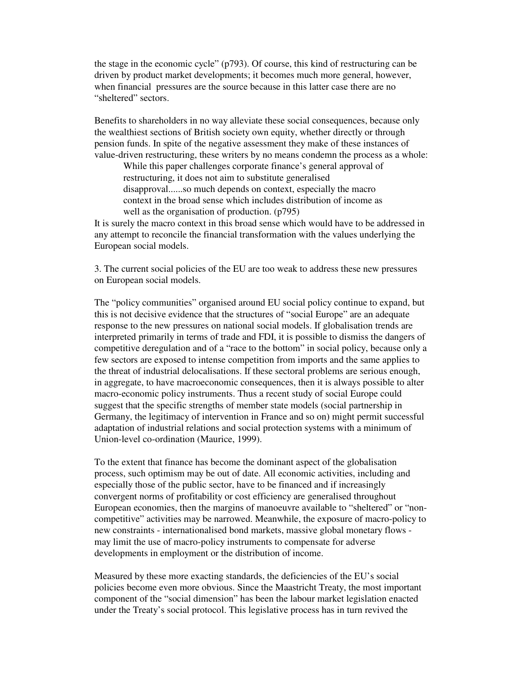the stage in the economic cycle" (p793). Of course, this kind of restructuring can be driven by product market developments; it becomes much more general, however, when financial pressures are the source because in this latter case there are no "sheltered" sectors.

Benefits to shareholders in no way alleviate these social consequences, because only the wealthiest sections of British society own equity, whether directly or through pension funds. In spite of the negative assessment they make of these instances of value-driven restructuring, these writers by no means condemn the process as a whole:

While this paper challenges corporate finance's general approval of restructuring, it does not aim to substitute generalised disapproval......so much depends on context, especially the macro context in the broad sense which includes distribution of income as well as the organisation of production. (p795)

It is surely the macro context in this broad sense which would have to be addressed in any attempt to reconcile the financial transformation with the values underlying the European social models.

3. The current social policies of the EU are too weak to address these new pressures on European social models.

The "policy communities" organised around EU social policy continue to expand, but this is not decisive evidence that the structures of "social Europe" are an adequate response to the new pressures on national social models. If globalisation trends are interpreted primarily in terms of trade and FDI, it is possible to dismiss the dangers of competitive deregulation and of a "race to the bottom" in social policy, because only a few sectors are exposed to intense competition from imports and the same applies to the threat of industrial delocalisations. If these sectoral problems are serious enough, in aggregate, to have macroeconomic consequences, then it is always possible to alter macro-economic policy instruments. Thus a recent study of social Europe could suggest that the specific strengths of member state models (social partnership in Germany, the legitimacy of intervention in France and so on) might permit successful adaptation of industrial relations and social protection systems with a minimum of Union-level co-ordination (Maurice, 1999).

To the extent that finance has become the dominant aspect of the globalisation process, such optimism may be out of date. All economic activities, including and especially those of the public sector, have to be financed and if increasingly convergent norms of profitability or cost efficiency are generalised throughout European economies, then the margins of manoeuvre available to "sheltered" or "noncompetitive" activities may be narrowed. Meanwhile, the exposure of macro-policy to new constraints - internationalised bond markets, massive global monetary flows may limit the use of macro-policy instruments to compensate for adverse developments in employment or the distribution of income.

Measured by these more exacting standards, the deficiencies of the EU's social policies become even more obvious. Since the Maastricht Treaty, the most important component of the "social dimension" has been the labour market legislation enacted under the Treaty's social protocol. This legislative process has in turn revived the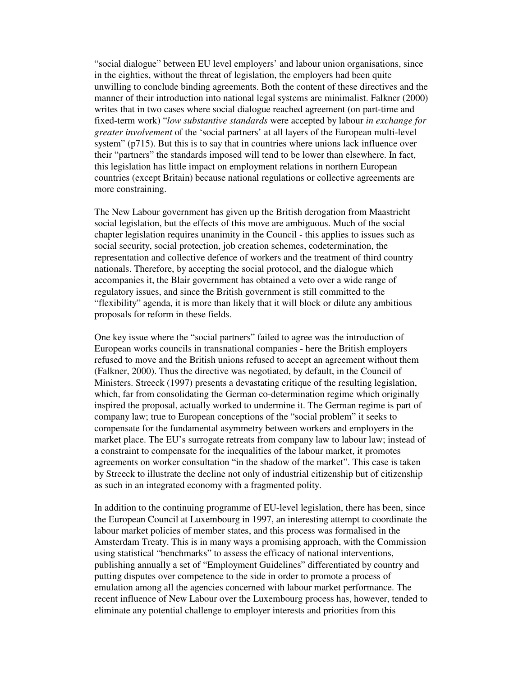"social dialogue" between EU level employers' and labour union organisations, since in the eighties, without the threat of legislation, the employers had been quite unwilling to conclude binding agreements. Both the content of these directives and the manner of their introduction into national legal systems are minimalist. Falkner (2000) writes that in two cases where social dialogue reached agreement (on part-time and fixed-term work) "*low substantive standards* were accepted by labour *in exchange for greater involvement* of the 'social partners' at all layers of the European multi-level system" (p715). But this is to say that in countries where unions lack influence over their "partners" the standards imposed will tend to be lower than elsewhere. In fact, this legislation has little impact on employment relations in northern European countries (except Britain) because national regulations or collective agreements are more constraining.

The New Labour government has given up the British derogation from Maastricht social legislation, but the effects of this move are ambiguous. Much of the social chapter legislation requires unanimity in the Council - this applies to issues such as social security, social protection, job creation schemes, codetermination, the representation and collective defence of workers and the treatment of third country nationals. Therefore, by accepting the social protocol, and the dialogue which accompanies it, the Blair government has obtained a veto over a wide range of regulatory issues, and since the British government is still committed to the "flexibility" agenda, it is more than likely that it will block or dilute any ambitious proposals for reform in these fields.

One key issue where the "social partners" failed to agree was the introduction of European works councils in transnational companies - here the British employers refused to move and the British unions refused to accept an agreement without them (Falkner, 2000). Thus the directive was negotiated, by default, in the Council of Ministers. Streeck (1997) presents a devastating critique of the resulting legislation, which, far from consolidating the German co-determination regime which originally inspired the proposal, actually worked to undermine it. The German regime is part of company law; true to European conceptions of the "social problem" it seeks to compensate for the fundamental asymmetry between workers and employers in the market place. The EU's surrogate retreats from company law to labour law; instead of a constraint to compensate for the inequalities of the labour market, it promotes agreements on worker consultation "in the shadow of the market". This case is taken by Streeck to illustrate the decline not only of industrial citizenship but of citizenship as such in an integrated economy with a fragmented polity.

In addition to the continuing programme of EU-level legislation, there has been, since the European Council at Luxembourg in 1997, an interesting attempt to coordinate the labour market policies of member states, and this process was formalised in the Amsterdam Treaty. This is in many ways a promising approach, with the Commission using statistical "benchmarks" to assess the efficacy of national interventions, publishing annually a set of "Employment Guidelines" differentiated by country and putting disputes over competence to the side in order to promote a process of emulation among all the agencies concerned with labour market performance. The recent influence of New Labour over the Luxembourg process has, however, tended to eliminate any potential challenge to employer interests and priorities from this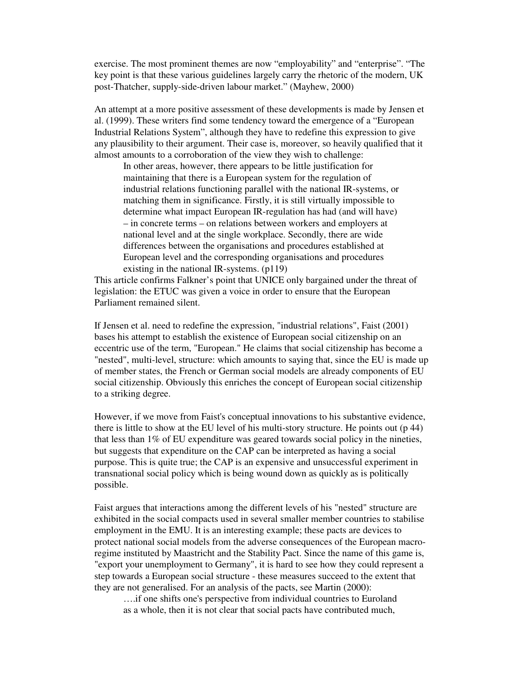exercise. The most prominent themes are now "employability" and "enterprise". "The key point is that these various guidelines largely carry the rhetoric of the modern, UK post-Thatcher, supply-side-driven labour market." (Mayhew, 2000)

An attempt at a more positive assessment of these developments is made by Jensen et al. (1999). These writers find some tendency toward the emergence of a "European Industrial Relations System", although they have to redefine this expression to give any plausibility to their argument. Their case is, moreover, so heavily qualified that it almost amounts to a corroboration of the view they wish to challenge:

In other areas, however, there appears to be little justification for maintaining that there is a European system for the regulation of industrial relations functioning parallel with the national IR-systems, or matching them in significance. Firstly, it is still virtually impossible to determine what impact European IR-regulation has had (and will have) – in concrete terms – on relations between workers and employers at national level and at the single workplace. Secondly, there are wide differences between the organisations and procedures established at European level and the corresponding organisations and procedures existing in the national IR-systems. (p119)

This article confirms Falkner's point that UNICE only bargained under the threat of legislation: the ETUC was given a voice in order to ensure that the European Parliament remained silent.

If Jensen et al. need to redefine the expression, "industrial relations", Faist (2001) bases his attempt to establish the existence of European social citizenship on an eccentric use of the term, "European." He claims that social citizenship has become a "nested", multi-level, structure: which amounts to saying that, since the EU is made up of member states, the French or German social models are already components of EU social citizenship. Obviously this enriches the concept of European social citizenship to a striking degree.

However, if we move from Faist's conceptual innovations to his substantive evidence, there is little to show at the EU level of his multi-story structure. He points out (p 44) that less than 1% of EU expenditure was geared towards social policy in the nineties, but suggests that expenditure on the CAP can be interpreted as having a social purpose. This is quite true; the CAP is an expensive and unsuccessful experiment in transnational social policy which is being wound down as quickly as is politically possible.

Faist argues that interactions among the different levels of his "nested" structure are exhibited in the social compacts used in several smaller member countries to stabilise employment in the EMU. It is an interesting example; these pacts are devices to protect national social models from the adverse consequences of the European macroregime instituted by Maastricht and the Stability Pact. Since the name of this game is, "export your unemployment to Germany", it is hard to see how they could represent a step towards a European social structure - these measures succeed to the extent that they are not generalised. For an analysis of the pacts, see Martin (2000):

….if one shifts one's perspective from individual countries to Euroland as a whole, then it is not clear that social pacts have contributed much,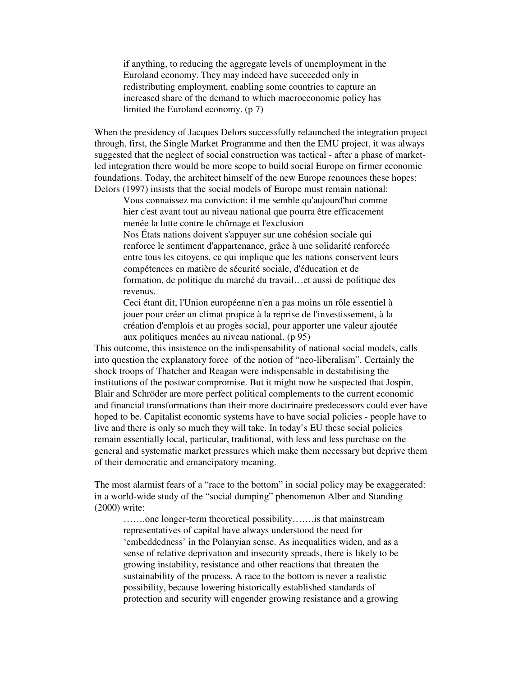if anything, to reducing the aggregate levels of unemployment in the Euroland economy. They may indeed have succeeded only in redistributing employment, enabling some countries to capture an increased share of the demand to which macroeconomic policy has limited the Euroland economy. (p 7)

When the presidency of Jacques Delors successfully relaunched the integration project through, first, the Single Market Programme and then the EMU project, it was always suggested that the neglect of social construction was tactical - after a phase of marketled integration there would be more scope to build social Europe on firmer economic foundations. Today, the architect himself of the new Europe renounces these hopes: Delors (1997) insists that the social models of Europe must remain national:

Vous connaissez ma conviction: il me semble qu'aujourd'hui comme hier c'est avant tout au niveau national que pourra être efficacement menée la lutte contre le chômage et l'exclusion

Nos États nations doivent s'appuyer sur une cohésion sociale qui renforce le sentiment d'appartenance, grâce à une solidarité renforcée entre tous les citoyens, ce qui implique que les nations conservent leurs compétences en matière de sécurité sociale, d'éducation et de formation, de politique du marché du travail…et aussi de politique des revenus.

Ceci étant dit, l'Union européenne n'en a pas moins un rôle essentiel à jouer pour créer un climat propice à la reprise de l'investissement, à la création d'emplois et au progès social, pour apporter une valeur ajoutée aux politiques menées au niveau national. (p 95)

This outcome, this insistence on the indispensability of national social models, calls into question the explanatory force of the notion of "neo-liberalism". Certainly the shock troops of Thatcher and Reagan were indispensable in destabilising the institutions of the postwar compromise. But it might now be suspected that Jospin, Blair and Schröder are more perfect political complements to the current economic and financial transformations than their more doctrinaire predecessors could ever have hoped to be. Capitalist economic systems have to have social policies - people have to live and there is only so much they will take. In today's EU these social policies remain essentially local, particular, traditional, with less and less purchase on the general and systematic market pressures which make them necessary but deprive them of their democratic and emancipatory meaning.

The most alarmist fears of a "race to the bottom" in social policy may be exaggerated: in a world-wide study of the "social dumping" phenomenon Alber and Standing (2000) write:

…….one longer-term theoretical possibility…….is that mainstream representatives of capital have always understood the need for 'embeddedness' in the Polanyian sense. As inequalities widen, and as a sense of relative deprivation and insecurity spreads, there is likely to be growing instability, resistance and other reactions that threaten the sustainability of the process. A race to the bottom is never a realistic possibility, because lowering historically established standards of protection and security will engender growing resistance and a growing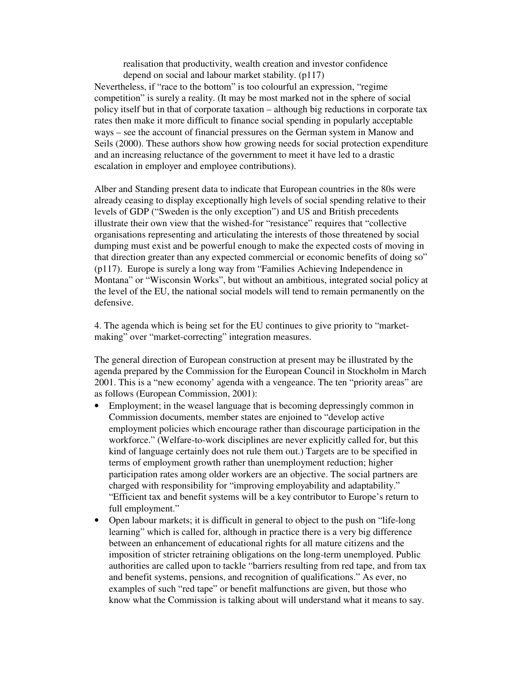realisation that productivity, wealth creation and investor confidence depend on social and labour market stability. (p117) Nevertheless, if "race to the bottom" is too colourful an expression, "regime competition" is surely a reality. (It may be most marked not in the sphere of social policy itself but in that of corporate taxation – although big reductions in corporate tax rates then make it more difficult to finance social spending in popularly acceptable ways – see the account of financial pressures on the German system in Manow and Seils (2000). These authors show how growing needs for social protection expenditure and an increasing reluctance of the government to meet it have led to a drastic escalation in employer and employee contributions).

Alber and Standing present data to indicate that European countries in the 80s were already ceasing to display exceptionally high levels of social spending relative to their levels of GDP ("Sweden is the only exception") and US and British precedents illustrate their own view that the wished-for "resistance" requires that "collective organisations representing and articulating the interests of those threatened by social dumping must exist and be powerful enough to make the expected costs of moving in that direction greater than any expected commercial or economic benefits of doing so" (p117). Europe is surely a long way from "Families Achieving Independence in Montana" or "Wisconsin Works", but without an ambitious, integrated social policy at the level of the EU, the national social models will tend to remain permanently on the defensive.

4. The agenda which is being set for the EU continues to give priority to "marketmaking" over "market-correcting" integration measures.

The general direction of European construction at present may be illustrated by the agenda prepared by the Commission for the European Council in Stockholm in March 2001. This is a "new economy' agenda with a vengeance. The ten "priority areas" are as follows (European Commission, 2001):

- Employment; in the weasel language that is becoming depressingly common in Commission documents, member states are enjoined to "develop active employment policies which encourage rather than discourage participation in the workforce." (Welfare-to-work disciplines are never explicitly called for, but this kind of language certainly does not rule them out.) Targets are to be specified in terms of employment growth rather than unemployment reduction; higher participation rates among older workers are an objective. The social partners are charged with responsibility for "improving employability and adaptability." "Efficient tax and benefit systems will be a key contributor to Europe's return to full employment."
- Open labour markets; it is difficult in general to object to the push on "life-long" learning" which is called for, although in practice there is a very big difference between an enhancement of educational rights for all mature citizens and the imposition of stricter retraining obligations on the long-term unemployed. Public authorities are called upon to tackle "barriers resulting from red tape, and from tax and benefit systems, pensions, and recognition of qualifications." As ever, no examples of such "red tape" or benefit malfunctions are given, but those who know what the Commission is talking about will understand what it means to say.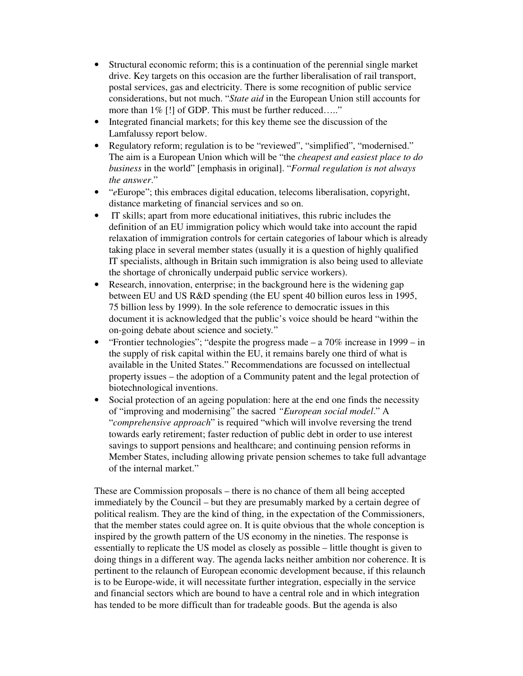- Structural economic reform; this is a continuation of the perennial single market drive. Key targets on this occasion are the further liberalisation of rail transport, postal services, gas and electricity. There is some recognition of public service considerations, but not much. "*State aid* in the European Union still accounts for more than  $1\%$  [!] of GDP. This must be further reduced....."
- Integrated financial markets; for this key theme see the discussion of the Lamfalussy report below.
- Regulatory reform; regulation is to be "reviewed", "simplified", "modernised." The aim is a European Union which will be "the *cheapest and easiest place to do business* in the world" [emphasis in original]. "*Formal regulation is not always the answer*."
- "*e*Europe"; this embraces digital education, telecoms liberalisation, copyright, distance marketing of financial services and so on.
- IT skills; apart from more educational initiatives, this rubric includes the definition of an EU immigration policy which would take into account the rapid relaxation of immigration controls for certain categories of labour which is already taking place in several member states (usually it is a question of highly qualified IT specialists, although in Britain such immigration is also being used to alleviate the shortage of chronically underpaid public service workers).
- Research, innovation, enterprise; in the background here is the widening gap between EU and US R&D spending (the EU spent 40 billion euros less in 1995, 75 billion less by 1999). In the sole reference to democratic issues in this document it is acknowledged that the public's voice should be heard "within the on-going debate about science and society*.*"
- "Frontier technologies"; "despite the progress made a 70% increase in 1999 in the supply of risk capital within the EU, it remains barely one third of what is available in the United States." Recommendations are focussed on intellectual property issues – the adoption of a Community patent and the legal protection of biotechnological inventions.
- Social protection of an ageing population: here at the end one finds the necessity of "improving and modernising" the sacred *"European social model*." A "*comprehensive approach*" is required "which will involve reversing the trend towards early retirement; faster reduction of public debt in order to use interest savings to support pensions and healthcare; and continuing pension reforms in Member States, including allowing private pension schemes to take full advantage of the internal market."

These are Commission proposals – there is no chance of them all being accepted immediately by the Council – but they are presumably marked by a certain degree of political realism. They are the kind of thing, in the expectation of the Commissioners, that the member states could agree on. It is quite obvious that the whole conception is inspired by the growth pattern of the US economy in the nineties. The response is essentially to replicate the US model as closely as possible – little thought is given to doing things in a different way. The agenda lacks neither ambition nor coherence. It is pertinent to the relaunch of European economic development because, if this relaunch is to be Europe-wide, it will necessitate further integration, especially in the service and financial sectors which are bound to have a central role and in which integration has tended to be more difficult than for tradeable goods. But the agenda is also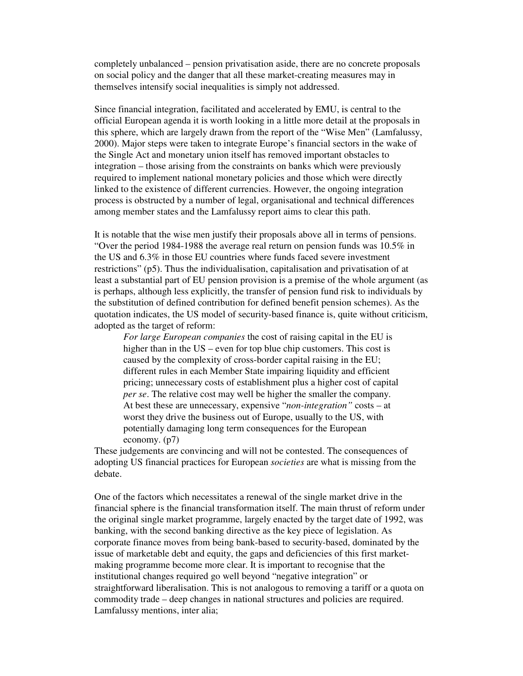completely unbalanced – pension privatisation aside, there are no concrete proposals on social policy and the danger that all these market-creating measures may in themselves intensify social inequalities is simply not addressed.

Since financial integration, facilitated and accelerated by EMU, is central to the official European agenda it is worth looking in a little more detail at the proposals in this sphere, which are largely drawn from the report of the "Wise Men" (Lamfalussy, 2000). Major steps were taken to integrate Europe's financial sectors in the wake of the Single Act and monetary union itself has removed important obstacles to integration – those arising from the constraints on banks which were previously required to implement national monetary policies and those which were directly linked to the existence of different currencies. However, the ongoing integration process is obstructed by a number of legal, organisational and technical differences among member states and the Lamfalussy report aims to clear this path.

It is notable that the wise men justify their proposals above all in terms of pensions. "Over the period 1984-1988 the average real return on pension funds was 10.5% in the US and 6.3% in those EU countries where funds faced severe investment restrictions" (p5). Thus the individualisation, capitalisation and privatisation of at least a substantial part of EU pension provision is a premise of the whole argument (as is perhaps, although less explicitly, the transfer of pension fund risk to individuals by the substitution of defined contribution for defined benefit pension schemes). As the quotation indicates, the US model of security-based finance is, quite without criticism, adopted as the target of reform:

*For large European companies* the cost of raising capital in the EU is higher than in the US – even for top blue chip customers. This cost is caused by the complexity of cross-border capital raising in the EU; different rules in each Member State impairing liquidity and efficient pricing; unnecessary costs of establishment plus a higher cost of capital *per se*. The relative cost may well be higher the smaller the company. At best these are unnecessary, expensive "*non-integration"* costs – at worst they drive the business out of Europe, usually to the US, with potentially damaging long term consequences for the European economy. (p7)

These judgements are convincing and will not be contested. The consequences of adopting US financial practices for European *societies* are what is missing from the debate.

One of the factors which necessitates a renewal of the single market drive in the financial sphere is the financial transformation itself. The main thrust of reform under the original single market programme, largely enacted by the target date of 1992, was banking, with the second banking directive as the key piece of legislation. As corporate finance moves from being bank-based to security-based, dominated by the issue of marketable debt and equity, the gaps and deficiencies of this first marketmaking programme become more clear. It is important to recognise that the institutional changes required go well beyond "negative integration" or straightforward liberalisation. This is not analogous to removing a tariff or a quota on commodity trade – deep changes in national structures and policies are required. Lamfalussy mentions, inter alia;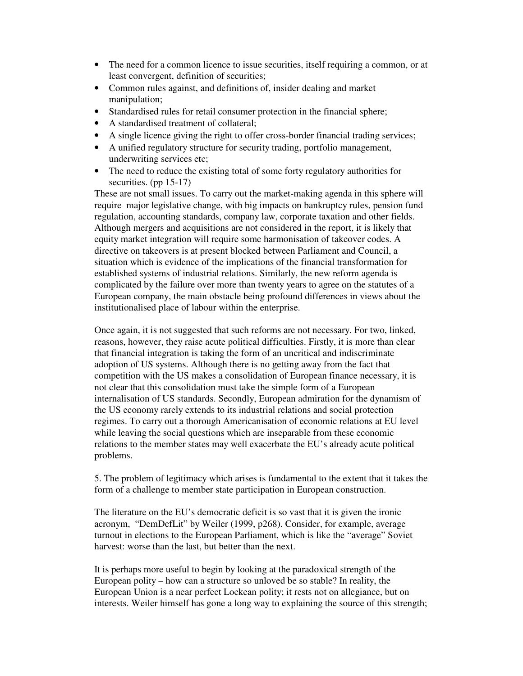- The need for a common licence to issue securities, itself requiring a common, or at least convergent, definition of securities;
- Common rules against, and definitions of, insider dealing and market manipulation;
- Standardised rules for retail consumer protection in the financial sphere;
- A standardised treatment of collateral;
- A single licence giving the right to offer cross-border financial trading services;
- A unified regulatory structure for security trading, portfolio management, underwriting services etc;
- The need to reduce the existing total of some forty regulatory authorities for securities. (pp 15-17)

These are not small issues. To carry out the market-making agenda in this sphere will require major legislative change, with big impacts on bankruptcy rules, pension fund regulation, accounting standards, company law, corporate taxation and other fields. Although mergers and acquisitions are not considered in the report, it is likely that equity market integration will require some harmonisation of takeover codes. A directive on takeovers is at present blocked between Parliament and Council, a situation which is evidence of the implications of the financial transformation for established systems of industrial relations. Similarly, the new reform agenda is complicated by the failure over more than twenty years to agree on the statutes of a European company, the main obstacle being profound differences in views about the institutionalised place of labour within the enterprise.

Once again, it is not suggested that such reforms are not necessary. For two, linked, reasons, however, they raise acute political difficulties. Firstly, it is more than clear that financial integration is taking the form of an uncritical and indiscriminate adoption of US systems. Although there is no getting away from the fact that competition with the US makes a consolidation of European finance necessary, it is not clear that this consolidation must take the simple form of a European internalisation of US standards. Secondly, European admiration for the dynamism of the US economy rarely extends to its industrial relations and social protection regimes. To carry out a thorough Americanisation of economic relations at EU level while leaving the social questions which are inseparable from these economic relations to the member states may well exacerbate the EU's already acute political problems.

5. The problem of legitimacy which arises is fundamental to the extent that it takes the form of a challenge to member state participation in European construction.

The literature on the EU's democratic deficit is so vast that it is given the ironic acronym, "DemDefLit" by Weiler (1999, p268). Consider, for example, average turnout in elections to the European Parliament, which is like the "average" Soviet harvest: worse than the last, but better than the next.

It is perhaps more useful to begin by looking at the paradoxical strength of the European polity – how can a structure so unloved be so stable? In reality, the European Union is a near perfect Lockean polity; it rests not on allegiance, but on interests. Weiler himself has gone a long way to explaining the source of this strength;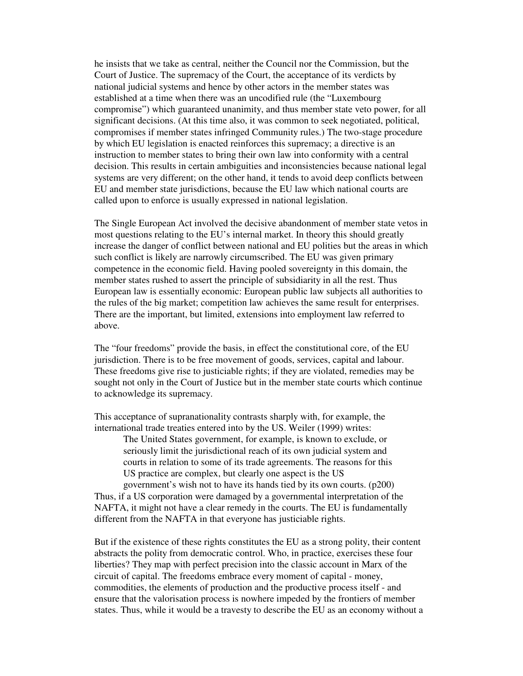he insists that we take as central, neither the Council nor the Commission, but the Court of Justice. The supremacy of the Court, the acceptance of its verdicts by national judicial systems and hence by other actors in the member states was established at a time when there was an uncodified rule (the "Luxembourg compromise") which guaranteed unanimity, and thus member state veto power, for all significant decisions. (At this time also, it was common to seek negotiated, political, compromises if member states infringed Community rules.) The two-stage procedure by which EU legislation is enacted reinforces this supremacy; a directive is an instruction to member states to bring their own law into conformity with a central decision. This results in certain ambiguities and inconsistencies because national legal systems are very different; on the other hand, it tends to avoid deep conflicts between EU and member state jurisdictions, because the EU law which national courts are called upon to enforce is usually expressed in national legislation.

The Single European Act involved the decisive abandonment of member state vetos in most questions relating to the EU's internal market. In theory this should greatly increase the danger of conflict between national and EU polities but the areas in which such conflict is likely are narrowly circumscribed. The EU was given primary competence in the economic field. Having pooled sovereignty in this domain, the member states rushed to assert the principle of subsidiarity in all the rest. Thus European law is essentially economic: European public law subjects all authorities to the rules of the big market; competition law achieves the same result for enterprises. There are the important, but limited, extensions into employment law referred to above.

The "four freedoms" provide the basis, in effect the constitutional core, of the EU jurisdiction. There is to be free movement of goods, services, capital and labour. These freedoms give rise to justiciable rights; if they are violated, remedies may be sought not only in the Court of Justice but in the member state courts which continue to acknowledge its supremacy.

This acceptance of supranationality contrasts sharply with, for example, the international trade treaties entered into by the US. Weiler (1999) writes:

> The United States government, for example, is known to exclude, or seriously limit the jurisdictional reach of its own judicial system and courts in relation to some of its trade agreements. The reasons for this US practice are complex, but clearly one aspect is the US government's wish not to have its hands tied by its own courts. (p200)

Thus, if a US corporation were damaged by a governmental interpretation of the NAFTA, it might not have a clear remedy in the courts. The EU is fundamentally different from the NAFTA in that everyone has justiciable rights.

But if the existence of these rights constitutes the EU as a strong polity, their content abstracts the polity from democratic control. Who, in practice, exercises these four liberties? They map with perfect precision into the classic account in Marx of the circuit of capital. The freedoms embrace every moment of capital - money, commodities, the elements of production and the productive process itself - and ensure that the valorisation process is nowhere impeded by the frontiers of member states. Thus, while it would be a travesty to describe the EU as an economy without a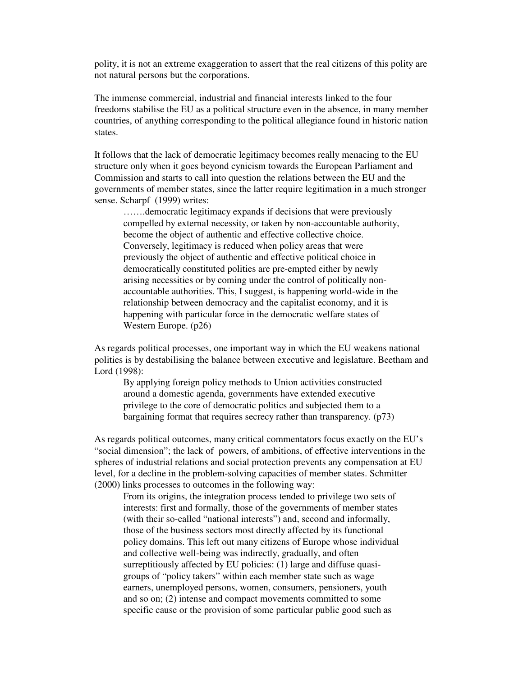polity, it is not an extreme exaggeration to assert that the real citizens of this polity are not natural persons but the corporations.

The immense commercial, industrial and financial interests linked to the four freedoms stabilise the EU as a political structure even in the absence, in many member countries, of anything corresponding to the political allegiance found in historic nation states.

It follows that the lack of democratic legitimacy becomes really menacing to the EU structure only when it goes beyond cynicism towards the European Parliament and Commission and starts to call into question the relations between the EU and the governments of member states, since the latter require legitimation in a much stronger sense. Scharpf (1999) writes:

…….democratic legitimacy expands if decisions that were previously compelled by external necessity, or taken by non-accountable authority, become the object of authentic and effective collective choice. Conversely, legitimacy is reduced when policy areas that were previously the object of authentic and effective political choice in democratically constituted polities are pre-empted either by newly arising necessities or by coming under the control of politically nonaccountable authorities. This, I suggest, is happening world-wide in the relationship between democracy and the capitalist economy, and it is happening with particular force in the democratic welfare states of Western Europe. (p26)

As regards political processes, one important way in which the EU weakens national polities is by destabilising the balance between executive and legislature. Beetham and Lord (1998):

By applying foreign policy methods to Union activities constructed around a domestic agenda, governments have extended executive privilege to the core of democratic politics and subjected them to a bargaining format that requires secrecy rather than transparency. (p73)

As regards political outcomes, many critical commentators focus exactly on the EU's "social dimension"; the lack of powers, of ambitions, of effective interventions in the spheres of industrial relations and social protection prevents any compensation at EU level, for a decline in the problem-solving capacities of member states. Schmitter (2000) links processes to outcomes in the following way:

From its origins, the integration process tended to privilege two sets of interests: first and formally, those of the governments of member states (with their so-called "national interests") and, second and informally, those of the business sectors most directly affected by its functional policy domains. This left out many citizens of Europe whose individual and collective well-being was indirectly, gradually, and often surreptitiously affected by EU policies: (1) large and diffuse quasigroups of "policy takers" within each member state such as wage earners, unemployed persons, women, consumers, pensioners, youth and so on; (2) intense and compact movements committed to some specific cause or the provision of some particular public good such as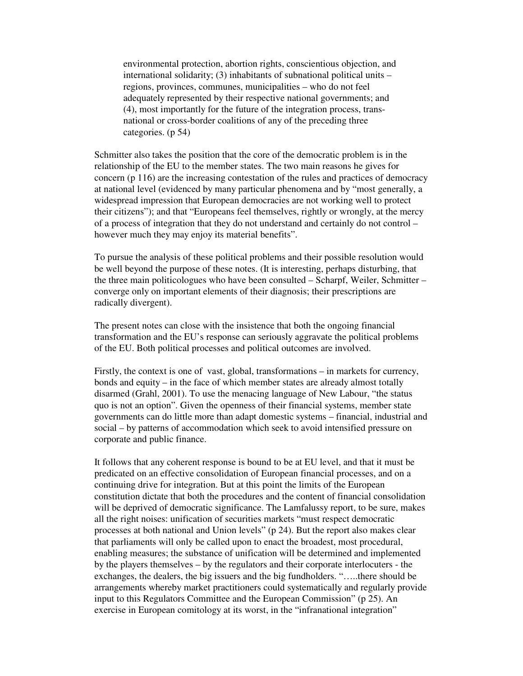environmental protection, abortion rights, conscientious objection, and international solidarity; (3) inhabitants of subnational political units – regions, provinces, communes, municipalities – who do not feel adequately represented by their respective national governments; and (4), most importantly for the future of the integration process, transnational or cross-border coalitions of any of the preceding three categories. (p 54)

Schmitter also takes the position that the core of the democratic problem is in the relationship of the EU to the member states. The two main reasons he gives for concern (p 116) are the increasing contestation of the rules and practices of democracy at national level (evidenced by many particular phenomena and by "most generally, a widespread impression that European democracies are not working well to protect their citizens"); and that "Europeans feel themselves, rightly or wrongly, at the mercy of a process of integration that they do not understand and certainly do not control – however much they may enjoy its material benefits".

To pursue the analysis of these political problems and their possible resolution would be well beyond the purpose of these notes. (It is interesting, perhaps disturbing, that the three main politicologues who have been consulted – Scharpf, Weiler, Schmitter – converge only on important elements of their diagnosis; their prescriptions are radically divergent).

The present notes can close with the insistence that both the ongoing financial transformation and the EU's response can seriously aggravate the political problems of the EU. Both political processes and political outcomes are involved.

Firstly, the context is one of vast, global, transformations – in markets for currency, bonds and equity – in the face of which member states are already almost totally disarmed (Grahl, 2001). To use the menacing language of New Labour, "the status quo is not an option". Given the openness of their financial systems, member state governments can do little more than adapt domestic systems – financial, industrial and social – by patterns of accommodation which seek to avoid intensified pressure on corporate and public finance.

It follows that any coherent response is bound to be at EU level, and that it must be predicated on an effective consolidation of European financial processes, and on a continuing drive for integration. But at this point the limits of the European constitution dictate that both the procedures and the content of financial consolidation will be deprived of democratic significance. The Lamfalussy report, to be sure, makes all the right noises: unification of securities markets "must respect democratic processes at both national and Union levels" (p 24). But the report also makes clear that parliaments will only be called upon to enact the broadest, most procedural, enabling measures; the substance of unification will be determined and implemented by the players themselves – by the regulators and their corporate interlocuters - the exchanges, the dealers, the big issuers and the big fundholders. "…..there should be arrangements whereby market practitioners could systematically and regularly provide input to this Regulators Committee and the European Commission" (p 25). An exercise in European comitology at its worst, in the "infranational integration"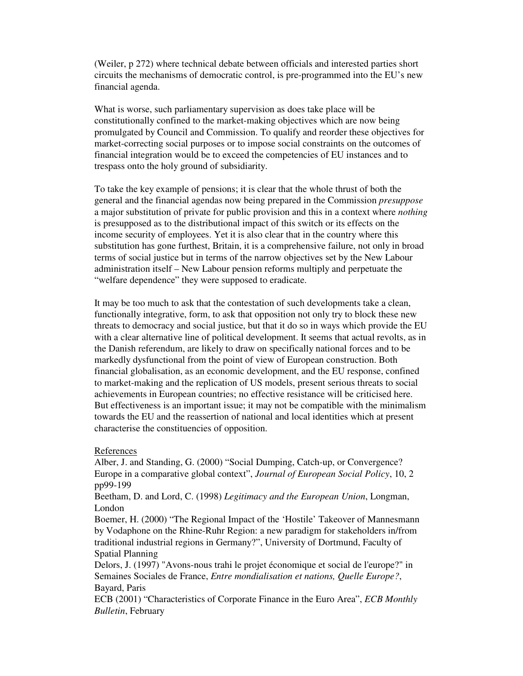(Weiler, p 272) where technical debate between officials and interested parties short circuits the mechanisms of democratic control, is pre-programmed into the EU's new financial agenda.

What is worse, such parliamentary supervision as does take place will be constitutionally confined to the market-making objectives which are now being promulgated by Council and Commission. To qualify and reorder these objectives for market-correcting social purposes or to impose social constraints on the outcomes of financial integration would be to exceed the competencies of EU instances and to trespass onto the holy ground of subsidiarity.

To take the key example of pensions; it is clear that the whole thrust of both the general and the financial agendas now being prepared in the Commission *presuppose* a major substitution of private for public provision and this in a context where *nothing* is presupposed as to the distributional impact of this switch or its effects on the income security of employees. Yet it is also clear that in the country where this substitution has gone furthest, Britain, it is a comprehensive failure, not only in broad terms of social justice but in terms of the narrow objectives set by the New Labour administration itself – New Labour pension reforms multiply and perpetuate the "welfare dependence" they were supposed to eradicate.

It may be too much to ask that the contestation of such developments take a clean, functionally integrative, form, to ask that opposition not only try to block these new threats to democracy and social justice, but that it do so in ways which provide the EU with a clear alternative line of political development. It seems that actual revolts, as in the Danish referendum, are likely to draw on specifically national forces and to be markedly dysfunctional from the point of view of European construction. Both financial globalisation, as an economic development, and the EU response, confined to market-making and the replication of US models, present serious threats to social achievements in European countries; no effective resistance will be criticised here. But effectiveness is an important issue; it may not be compatible with the minimalism towards the EU and the reassertion of national and local identities which at present characterise the constituencies of opposition.

#### References

Alber, J. and Standing, G. (2000) "Social Dumping, Catch-up, or Convergence? Europe in a comparative global context", *Journal of European Social Policy*, 10, 2 pp99-199

Beetham, D. and Lord, C. (1998) *Legitimacy and the European Union*, Longman, London

Boemer, H. (2000) "The Regional Impact of the 'Hostile' Takeover of Mannesmann by Vodaphone on the Rhine-Ruhr Region: a new paradigm for stakeholders in/from traditional industrial regions in Germany?", University of Dortmund, Faculty of Spatial Planning

Delors, J. (1997) "Avons-nous trahi le projet économique et social de l'europe?" in Semaines Sociales de France, *Entre mondialisation et nations, Quelle Europe?*, Bayard, Paris

ECB (2001) "Characteristics of Corporate Finance in the Euro Area", *ECB Monthly Bulletin*, February